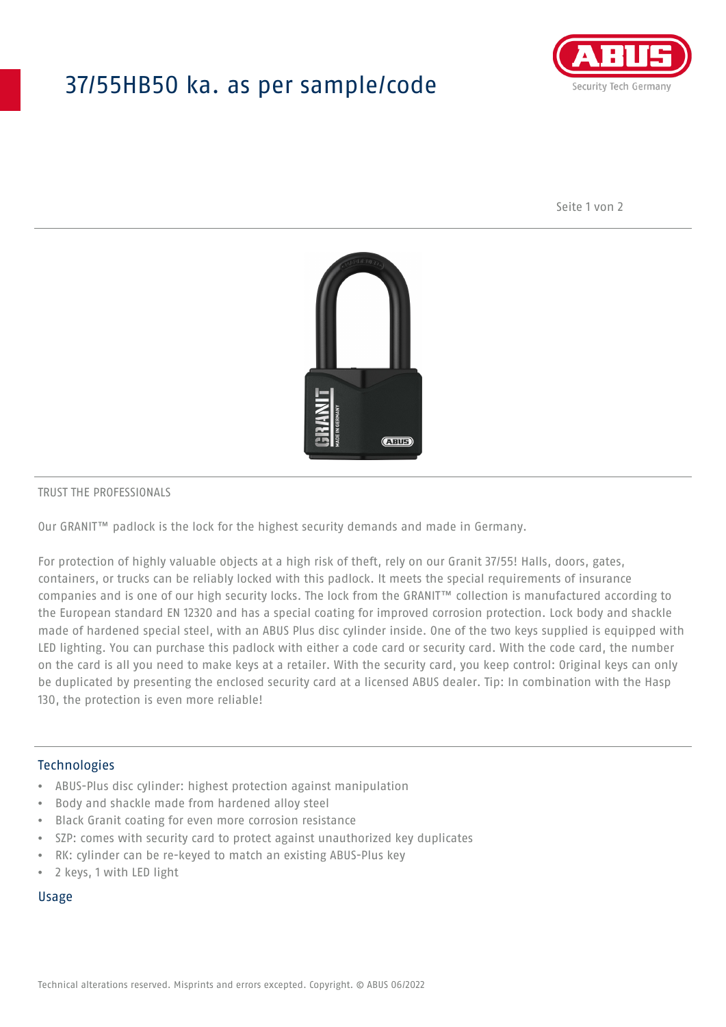# 37/55HB50 ka. as per sample/code



Seite 1 von 2



#### TRUST THE PROFESSIONALS

Our GRANIT™ padlock is the lock for the highest security demands and made in Germany.

For protection of highly valuable objects at a high risk of theft, rely on our Granit 37/55! Halls, doors, gates, containers, or trucks can be reliably locked with this padlock. It meets the special requirements of insurance companies and is one of our high security locks. The lock from the GRANIT™ collection is manufactured according to the European standard EN 12320 and has a special coating for improved corrosion protection. Lock body and shackle made of hardened special steel, with an ABUS Plus disc cylinder inside. One of the two keys supplied is equipped with LED lighting. You can purchase this padlock with either a code card or security card. With the code card, the number on the card is all you need to make keys at a retailer. With the security card, you keep control: Original keys can only be duplicated by presenting the enclosed security card at a licensed ABUS dealer. Tip: In combination with the Hasp 130, the protection is even more reliable!

### Technologies

- ABUS-Plus disc cylinder: highest protection against manipulation
- Body and shackle made from hardened alloy steel
- Black Granit coating for even more corrosion resistance
- SZP: comes with security card to protect against unauthorized key duplicates
- RK: cylinder can be re-keyed to match an existing ABUS-Plus key
- 2 keys, 1 with LED light

#### Usage